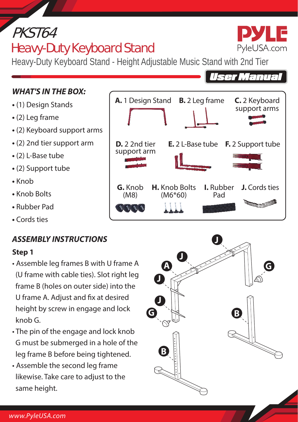# PKST64

## Heavy-Duty Keyboard Stand



## *WHAT'S IN THE BOX:*

- (1) Design Stands
- (2) Leg frame
- (2) Keyboard support arms
- (2) 2nd tier support arm
- (2) L-Base tube
- (2) Support tube
- Knob
- Knob Bolts
- Rubber Pad
- Cords ties

## *ASSEMBLY INSTRUCTIONS*

#### **Step 1**

- Assemble leg frames B with U frame A (U frame with cable ties). Slot right leg frame B (holes on outer side) into the U frame A. Adjust and fix at desired height by screw in engage and lock knob G.
- The pin of the engage and lock knob G must be submerged in a hole of the leg frame B before being tightened.
- Assemble the second leg frame likewise. Take care to adjust to the same height.







**User Manual**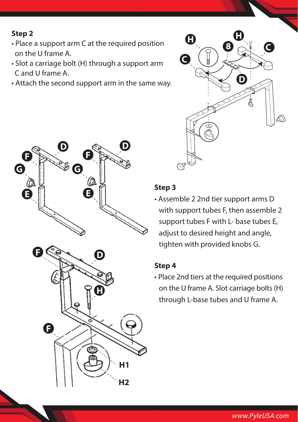#### **Step 2**

- Place a support arm C at the required position on the U frame A.
- Slot a carriage bolt (H) through a support arm C and U frame A.
- Attach the second support arm in the same way.





#### **Step 3**

• Assemble 2 2nd tier support arms D with support tubes F, then assemble 2 support tubes F with L- base tubes E, adjust to desired height and angle, tighten with provided knobs G.

#### **Step 4**

• Place 2nd tiers at the required positions on the U frame A. Slot carriage bolts (H) through L-base tubes and U frame A.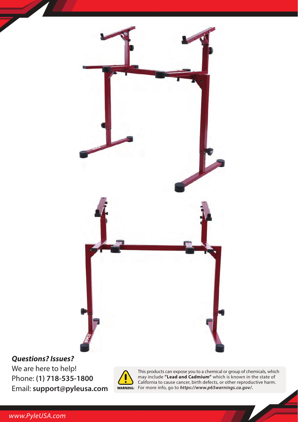

## *Questions? Issues?*

We are here to help! Phone: **(1) 718-535-1800** Email: **support@pyleusa.com**



This products can expose you to a chemical or group of chemicals, which<br>may include **"Lead and Cadmium"** which is known in the state of<br>California to cause cancer, birth defects, or other reproductive harm.<br>For more info,